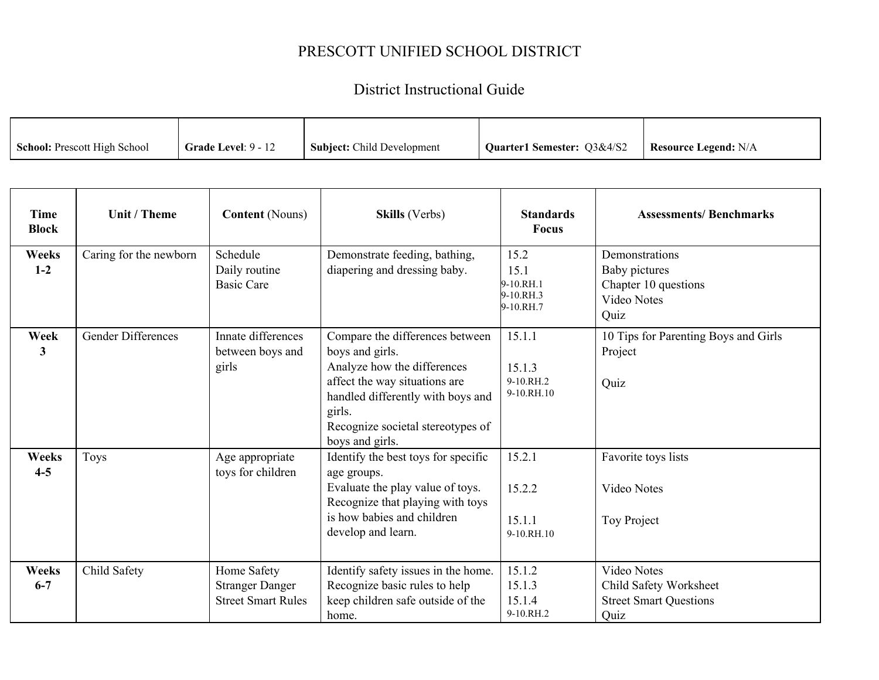## PRESCOTT UNIFIED SCHOOL DISTRICT

## District Instructional Guide

| <b>School:</b> Prescott High School | Grade Level: $9 - 12$ | <b>Subject:</b> Child Development | Quarter1 Semester: Q3&4/S2 | <b>Resource Legend: N/A</b> |
|-------------------------------------|-----------------------|-----------------------------------|----------------------------|-----------------------------|

| <b>Time</b><br><b>Block</b> | Unit / Theme              | <b>Content</b> (Nouns)                                             | <b>Skills</b> (Verbs)                                                                                                                                                                                                     | <b>Standards</b><br><b>Focus</b>                    | <b>Assessments/Benchmarks</b>                                                         |
|-----------------------------|---------------------------|--------------------------------------------------------------------|---------------------------------------------------------------------------------------------------------------------------------------------------------------------------------------------------------------------------|-----------------------------------------------------|---------------------------------------------------------------------------------------|
| <b>Weeks</b><br>$1 - 2$     | Caring for the newborn    | Schedule<br>Daily routine<br><b>Basic Care</b>                     | Demonstrate feeding, bathing,<br>diapering and dressing baby.                                                                                                                                                             | 15.2<br>15.1<br>9-10.RH.1<br>9-10.RH.3<br>9-10.RH.7 | Demonstrations<br>Baby pictures<br>Chapter 10 questions<br><b>Video Notes</b><br>Quiz |
| Week<br>3                   | <b>Gender Differences</b> | Innate differences<br>between boys and<br>girls                    | Compare the differences between<br>boys and girls.<br>Analyze how the differences<br>affect the way situations are<br>handled differently with boys and<br>girls.<br>Recognize societal stereotypes of<br>boys and girls. | 15.1.1<br>15.1.3<br>9-10.RH.2<br>9-10.RH.10         | 10 Tips for Parenting Boys and Girls<br>Project<br>Quiz                               |
| Weeks<br>$4 - 5$            | <b>Toys</b>               | Age appropriate<br>toys for children                               | Identify the best toys for specific<br>age groups.<br>Evaluate the play value of toys.<br>Recognize that playing with toys<br>is how babies and children<br>develop and learn.                                            | 15.2.1<br>15.2.2<br>15.1.1<br>9-10.RH.10            | Favorite toys lists<br>Video Notes<br>Toy Project                                     |
| Weeks<br>$6 - 7$            | Child Safety              | Home Safety<br><b>Stranger Danger</b><br><b>Street Smart Rules</b> | Identify safety issues in the home.<br>Recognize basic rules to help<br>keep children safe outside of the<br>home.                                                                                                        | 15.1.2<br>15.1.3<br>15.1.4<br>9-10.RH.2             | Video Notes<br>Child Safety Worksheet<br><b>Street Smart Questions</b><br>Quiz        |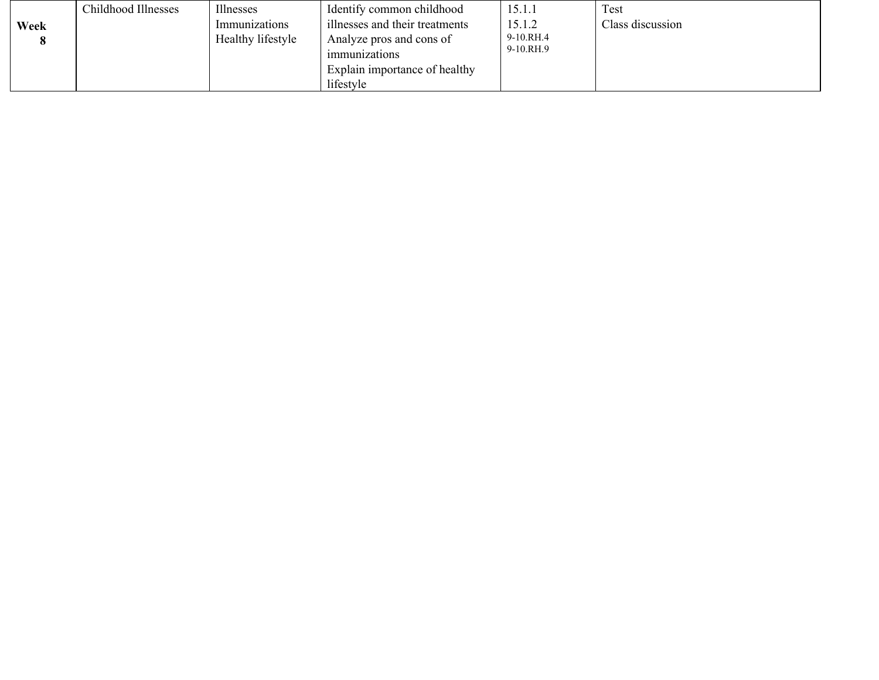|      | Childhood Illnesses | Illnesses         | Identify common childhood      | 15.1.1    | Test             |
|------|---------------------|-------------------|--------------------------------|-----------|------------------|
| Week |                     | Immunizations     | illnesses and their treatments | 15.1.2    | Class discussion |
|      |                     | Healthy lifestyle | Analyze pros and cons of       | 9-10.RH.4 |                  |
|      |                     |                   | immunizations                  | 9-10.RH.9 |                  |
|      |                     |                   | Explain importance of healthy  |           |                  |
|      |                     |                   | lifestyle                      |           |                  |